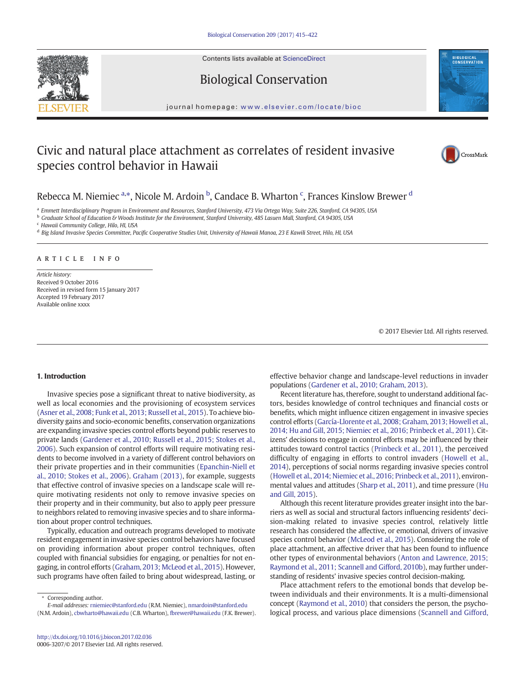Contents lists available at ScienceDirect

Biological Conservation





# journal homepage: <www.elsevier.com/locate/bioc>

# Civic and natural place attachment as correlates of resident invasive species control behavior in Hawaii



Rebecca M. Niemiec <sup>a,\*</sup>, Nicole M. Ardoin <sup>b</sup>, Candace B. Wharton <sup>c</sup>, Frances Kinslow Brewer <sup>d</sup>

a Emmett Interdisciplinary Program in Environment and Resources, Stanford University, 473 Via Ortega Way, Suite 226, Stanford, CA 94305, USA

<sup>b</sup> Graduate School of Education & Woods Institute for the Environment, Stanford University, 485 Lasuen Mall, Stanford, CA 94305, USA

<sup>c</sup> Hawaii Community College, Hilo, HI, USA

<sup>d</sup> Big Island Invasive Species Committee, Pacific Cooperative Studies Unit, University of Hawaii Manoa, 23 E Kawili Street, Hilo, HI, USA

article info

Article history: Received 9 October 2016 Received in revised form 15 January 2017 Accepted 19 February 2017 Available online xxxx

© 2017 Elsevier Ltd. All rights reserved.

# 1. Introduction

Invasive species pose a significant threat to native biodiversity, as well as local economies and the provisioning of ecosystem services [\(Asner et al., 2008; Funk et al., 2013; Russell et al., 2015\)](#page-6-0). To achieve biodiversity gains and socio-economic benefits, conservation organizations are expanding invasive species control efforts beyond public reserves to private lands ([Gardener et al., 2010; Russell et al., 2015; Stokes et al.,](#page-6-0) [2006\)](#page-6-0). Such expansion of control efforts will require motivating residents to become involved in a variety of different control behaviors on their private properties and in their communities ([Epanchin-Niell et](#page-6-0) [al., 2010; Stokes et al., 2006](#page-6-0)). [Graham \(2013\),](#page-6-0) for example, suggests that effective control of invasive species on a landscape scale will require motivating residents not only to remove invasive species on their property and in their community, but also to apply peer pressure to neighbors related to removing invasive species and to share information about proper control techniques.

Typically, education and outreach programs developed to motivate resident engagement in invasive species control behaviors have focused on providing information about proper control techniques, often coupled with financial subsidies for engaging, or penalties for not engaging, in control efforts [\(Graham, 2013; McLeod et al., 2015\)](#page-6-0). However, such programs have often failed to bring about widespread, lasting, or

Corresponding author.

E-mail addresses: rniemiec@stanford.edu (R.M. Niemiec), nmardoin@stanford.edu (N.M. Ardoin), cbwharto@hawaii.edu (C.B. Wharton), [fbrewer@hawaii.edu](mailto:fbrewer@hawaii.edu) (F.K. Brewer). effective behavior change and landscape-level reductions in invader populations [\(Gardener et al., 2010; Graham, 2013\)](#page-6-0).

Recent literature has, therefore, sought to understand additional factors, besides knowledge of control techniques and financial costs or benefits, which might influence citizen engagement in invasive species control efforts [\(García-Llorente et al., 2008; Graham, 2013; Howell et al.,](#page-6-0) [2014; Hu and Gill, 2015; Niemiec et al., 2016; Prinbeck et al., 2011\)](#page-6-0). Citizens' decisions to engage in control efforts may be influenced by their attitudes toward control tactics ([Prinbeck et al., 2011](#page-7-0)), the perceived difficulty of engaging in efforts to control invaders [\(Howell et al.,](#page-6-0) [2014\)](#page-6-0), perceptions of social norms regarding invasive species control [\(Howell et al., 2014; Niemiec et al., 2016; Prinbeck et al., 2011](#page-6-0)), environmental values and attitudes ([Sharp et al., 2011\)](#page-7-0), and time pressure [\(Hu](#page-6-0) [and Gill, 2015\)](#page-6-0).

Although this recent literature provides greater insight into the barriers as well as social and structural factors influencing residents' decision-making related to invasive species control, relatively little research has considered the affective, or emotional, drivers of invasive species control behavior [\(McLeod et al., 2015](#page-7-0)). Considering the role of place attachment, an affective driver that has been found to influence other types of environmental behaviors [\(Anton and Lawrence, 2015;](#page-6-0) [Raymond et al., 2011; Scannell and Gifford, 2010b](#page-6-0)), may further understanding of residents' invasive species control decision-making.

Place attachment refers to the emotional bonds that develop between individuals and their environments. It is a multi-dimensional concept [\(Raymond et al., 2010](#page-7-0)) that considers the person, the psychological process, and various place dimensions [\(Scannell and Gifford,](#page-7-0)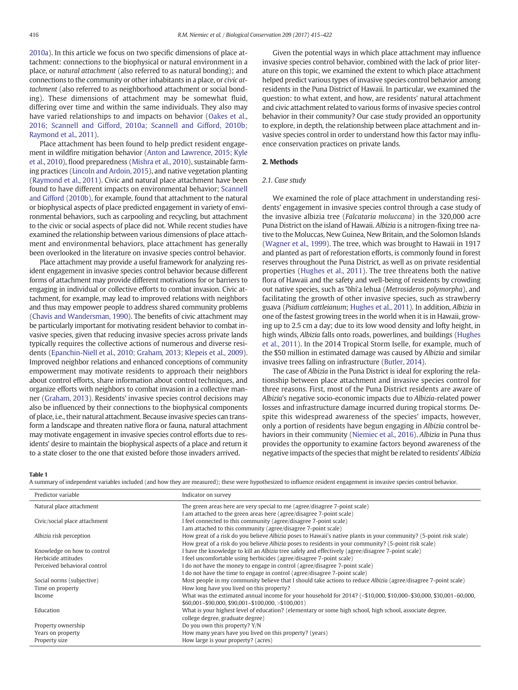<span id="page-1-0"></span>[2010a\)](#page-7-0). In this article we focus on two specific dimensions of place attachment: connections to the biophysical or natural environment in a place, or natural attachment (also referred to as natural bonding); and connections to the community or other inhabitants in a place, or civic attachment (also referred to as neighborhood attachment or social bonding). These dimensions of attachment may be somewhat fluid, differing over time and within the same individuals. They also may have varied relationships to and impacts on behavior ([Oakes et al.,](#page-7-0) [2016; Scannell and Gifford, 2010a; Scannell and Gifford, 2010b;](#page-7-0) [Raymond et al., 2011](#page-7-0)).

Place attachment has been found to help predict resident engagement in wildfire mitigation behavior [\(Anton and Lawrence, 2015; Kyle](#page-6-0) [et al., 2010\)](#page-6-0), flood preparedness ([Mishra et al., 2010](#page-7-0)), sustainable farming practices [\(Lincoln and Ardoin, 2015\)](#page-7-0), and native vegetation planting [\(Raymond et al., 2011](#page-7-0)). Civic and natural place attachment have been found to have different impacts on environmental behavior; [Scannell](#page-7-0) [and Gifford \(2010b\),](#page-7-0) for example, found that attachment to the natural or biophysical aspects of place predicted engagement in variety of environmental behaviors, such as carpooling and recycling, but attachment to the civic or social aspects of place did not. While recent studies have examined the relationship between various dimensions of place attachment and environmental behaviors, place attachment has generally been overlooked in the literature on invasive species control behavior.

Place attachment may provide a useful framework for analyzing resident engagement in invasive species control behavior because different forms of attachment may provide different motivations for or barriers to engaging in individual or collective efforts to combat invasion. Civic attachment, for example, may lead to improved relations with neighbors and thus may empower people to address shared community problems [\(Chavis and Wandersman, 1990](#page-6-0)). The benefits of civic attachment may be particularly important for motivating resident behavior to combat invasive species, given that reducing invasive species across private lands typically requires the collective actions of numerous and diverse residents [\(Epanchin-Niell et al., 2010; Graham, 2013; Klepeis et al., 2009\)](#page-6-0). Improved neighbor relations and enhanced conceptions of community empowerment may motivate residents to approach their neighbors about control efforts, share information about control techniques, and organize efforts with neighbors to combat invasion in a collective manner [\(Graham, 2013\)](#page-6-0). Residents' invasive species control decisions may also be influenced by their connections to the biophysical components of place, i.e., their natural attachment. Because invasive species can transform a landscape and threaten native flora or fauna, natural attachment may motivate engagement in invasive species control efforts due to residents' desire to maintain the biophysical aspects of a place and return it to a state closer to the one that existed before those invaders arrived.

Given the potential ways in which place attachment may influence invasive species control behavior, combined with the lack of prior literature on this topic, we examined the extent to which place attachment helped predict various types of invasive species control behavior among residents in the Puna District of Hawaii. In particular, we examined the question: to what extent, and how, are residents' natural attachment and civic attachment related to various forms of invasive species control behavior in their community? Our case study provided an opportunity to explore, in depth, the relationship between place attachment and invasive species control in order to understand how this factor may influence conservation practices on private lands.

## 2. Methods

# 2.1. Case study

We examined the role of place attachment in understanding residents' engagement in invasive species control through a case study of the invasive albizia tree (Falcataria moluccana) in the 320,000 acre Puna District on the island of Hawaii. Albizia is a nitrogen-fixing tree native to the Moluccas, New Guinea, New Britain, and the Solomon Islands [\(Wagner et al., 1999](#page-7-0)). The tree, which was brought to Hawaii in 1917 and planted as part of reforestation efforts, is commonly found in forest reserves throughout the Puna District, as well as on private residential properties ([Hughes et al., 2011](#page-6-0)). The tree threatens both the native flora of Hawaii and the safety and well-being of residents by crowding out native species, such as ohi'a lehua (Metrosideros polymorpha), and facilitating the growth of other invasive species, such as strawberry guava (Psidium cattleianum; [Hughes et al., 2011\)](#page-6-0). In addition, Albizia in one of the fastest growing trees in the world when it is in Hawaii, growing up to 2.5 cm a day; due to its low wood density and lofty height, in high winds, Albizia falls onto roads, powerlines, and buildings ([Hughes](#page-6-0) [et al., 2011](#page-6-0)). In the 2014 Tropical Storm Iselle, for example, much of the \$50 million in estimated damage was caused by Albizia and similar invasive trees falling on infrastructure ([Butler, 2014](#page-6-0)).

The case of Albizia in the Puna District is ideal for exploring the relationship between place attachment and invasive species control for three reasons. First, most of the Puna District residents are aware of Albizia's negative socio-economic impacts due to Albizia-related power losses and infrastructure damage incurred during tropical storms. Despite this widespread awareness of the species' impacts, however, only a portion of residents have begun engaging in Albizia control behaviors in their community [\(Niemiec et al., 2016](#page-7-0)). Albizia in Puna thus provides the opportunity to examine factors beyond awareness of the negative impacts of the species that might be related to residents' Albizia

#### Table 1

A summary of independent variables included (and how they are measured); these were hypothesized to influence resident engagement in invasive species control behavior.

| Predictor variable            | Indicator on survey                                                                                                                                                                                                         |  |  |
|-------------------------------|-----------------------------------------------------------------------------------------------------------------------------------------------------------------------------------------------------------------------------|--|--|
| Natural place attachment      | The green areas here are very special to me (agree/disagree 7-point scale)<br>I am attached to the green areas here (agree/disagree 7-point scale)                                                                          |  |  |
| Civic/social place attachment | I feel connected to this community (agree/disagree 7-point scale)<br>I am attached to this community (agree/disagree 7-point scale)                                                                                         |  |  |
| Albizia risk perception       | How great of a risk do you believe Albizia poses to Hawaii's native plants in your community? (5-point risk scale)<br>How great of a risk do you believe Albizia poses to residents in your community? (5-point risk scale) |  |  |
| Knowledge on how to control   | I have the knowledge to kill an Albizia tree safely and effectively (agree/disagree 7-point scale)                                                                                                                          |  |  |
| Herbicide attitudes           | I feel uncomfortable using herbicides (agree/disagree 7-point scale)                                                                                                                                                        |  |  |
| Perceived behavioral control  | I do not have the money to engage in control (agree/disagree 7-point scale)                                                                                                                                                 |  |  |
|                               | I do not have the time to engage in control (agree/disagree 7-point scale)                                                                                                                                                  |  |  |
| Social norms (subjective)     | Most people in my community believe that I should take actions to reduce <i>Albizia</i> (agree/disagree 7-point scale)                                                                                                      |  |  |
| Time on property              | How long have you lived on this property?                                                                                                                                                                                   |  |  |
| Income                        | What was the estimated annual income for your household for 2014? (<\$10,000, \$10,000–\$30,000, \$30,001–60,000,<br>$$60.001 - $90.000$ . \$90.001-\$100.000. >\$100.001)                                                  |  |  |
| Education                     | What is your highest level of education? (elementary or some high school, high school, associate degree,<br>college degree, graduate degree)                                                                                |  |  |
| Property ownership            | Do you own this property? Y/N                                                                                                                                                                                               |  |  |
| Years on property             | How many years have you lived on this property? (years)                                                                                                                                                                     |  |  |
| Property size                 | How large is your property? (acres)                                                                                                                                                                                         |  |  |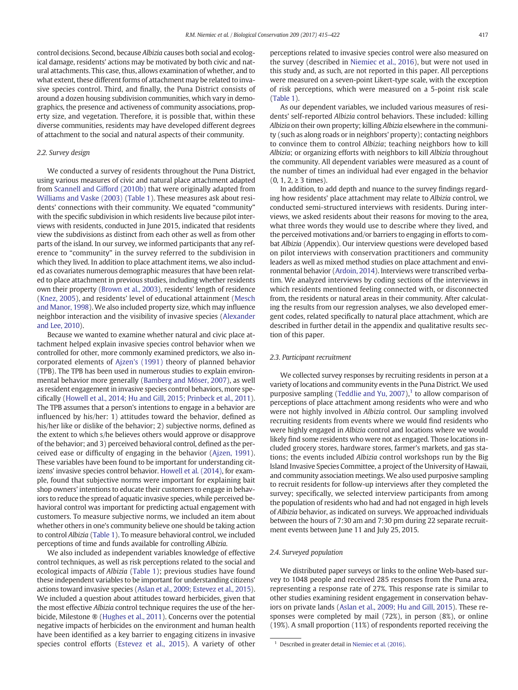control decisions. Second, because Albizia causes both social and ecological damage, residents' actions may be motivated by both civic and natural attachments. This case, thus, allows examination of whether, and to what extent, these different forms of attachment may be related to invasive species control. Third, and finally, the Puna District consists of around a dozen housing subdivision communities, which vary in demographics, the presence and activeness of community associations, property size, and vegetation. Therefore, it is possible that, within these diverse communities, residents may have developed different degrees of attachment to the social and natural aspects of their community.

#### 2.2. Survey design

We conducted a survey of residents throughout the Puna District, using various measures of civic and natural place attachment adapted from [Scannell and Gifford \(2010b\)](#page-7-0) that were originally adapted from [Williams and Vaske \(2003\)](#page-7-0) [\(Table 1](#page-1-0)). These measures ask about residents' connections with their community. We equated "community" with the specific subdivision in which residents live because pilot interviews with residents, conducted in June 2015, indicated that residents view the subdivisions as distinct from each other as well as from other parts of the island. In our survey, we informed participants that any reference to "community" in the survey referred to the subdivision in which they lived. In addition to place attachment items, we also included as covariates numerous demographic measures that have been related to place attachment in previous studies, including whether residents own their property ([Brown et al., 2003](#page-6-0)), residents' length of residence [\(Knez, 2005\)](#page-7-0), and residents' level of educational attainment ([Mesch](#page-7-0) [and Manor, 1998](#page-7-0)). We also included property size, which may influence neighbor interaction and the visibility of invasive species [\(Alexander](#page-6-0) [and Lee, 2010\)](#page-6-0).

Because we wanted to examine whether natural and civic place attachment helped explain invasive species control behavior when we controlled for other, more commonly examined predictors, we also incorporated elements of [Ajzen's \(1991\)](#page-6-0) theory of planned behavior (TPB). The TPB has been used in numerous studies to explain environmental behavior more generally [\(Bamberg and Möser, 2007\)](#page-6-0), as well as resident engagement in invasive species control behaviors, more specifically ([Howell et al., 2014; Hu and Gill, 2015; Prinbeck et al., 2011](#page-6-0)). The TPB assumes that a person's intentions to engage in a behavior are influenced by his/her: 1) attitudes toward the behavior, defined as his/her like or dislike of the behavior; 2) subjective norms, defined as the extent to which s/he believes others would approve or disapprove of the behavior; and 3) perceived behavioral control, defined as the perceived ease or difficulty of engaging in the behavior [\(Ajzen, 1991](#page-6-0)). These variables have been found to be important for understanding citizens' invasive species control behavior. [Howell et al. \(2014\)](#page-6-0), for example, found that subjective norms were important for explaining bait shop owners' intentions to educate their customers to engage in behaviors to reduce the spread of aquatic invasive species, while perceived behavioral control was important for predicting actual engagement with customers. To measure subjective norms, we included an item about whether others in one's community believe one should be taking action to control Albizia [\(Table 1](#page-1-0)). To measure behavioral control, we included perceptions of time and funds available for controlling Albizia.

We also included as independent variables knowledge of effective control techniques, as well as risk perceptions related to the social and ecological impacts of Albizia ([Table 1\)](#page-1-0); previous studies have found these independent variables to be important for understanding citizens' actions toward invasive species [\(Aslan et al., 2009; Estevez et al., 2015](#page-6-0)). We included a question about attitudes toward herbicides, given that the most effective Albizia control technique requires the use of the herbicide, Milestone ® ([Hughes et al., 2011](#page-6-0)). Concerns over the potential negative impacts of herbicides on the environment and human health have been identified as a key barrier to engaging citizens in invasive species control efforts ([Estevez et al., 2015\)](#page-6-0). A variety of other perceptions related to invasive species control were also measured on the survey (described in [Niemiec et al., 2016](#page-7-0)), but were not used in this study and, as such, are not reported in this paper. All perceptions were measured on a seven-point Likert-type scale, with the exception of risk perceptions, which were measured on a 5-point risk scale [\(Table 1\)](#page-1-0).

As our dependent variables, we included various measures of residents' self-reported Albizia control behaviors. These included: killing Albizia on their own property; killing Albizia elsewhere in the community (such as along roads or in neighbors' property); contacting neighbors to convince them to control Albizia; teaching neighbors how to kill Albizia; or organizing efforts with neighbors to kill Albizia throughout the community. All dependent variables were measured as a count of the number of times an individual had ever engaged in the behavior  $(0, 1, 2, ≥ 3 \times 3)$ .

In addition, to add depth and nuance to the survey findings regarding how residents' place attachment may relate to Albizia control, we conducted semi-structured interviews with residents. During interviews, we asked residents about their reasons for moving to the area, what three words they would use to describe where they lived, and the perceived motivations and/or barriers to engaging in efforts to combat Albizia (Appendix). Our interview questions were developed based on pilot interviews with conservation practitioners and community leaders as well as mixed method studies on place attachment and environmental behavior ([Ardoin, 2014](#page-6-0)). Interviews were transcribed verbatim. We analyzed interviews by coding sections of the interviews in which residents mentioned feeling connected with, or disconnected from, the residents or natural areas in their community. After calculating the results from our regression analyses, we also developed emergent codes, related specifically to natural place attachment, which are described in further detail in the appendix and qualitative results section of this paper.

## 2.3. Participant recruitment

We collected survey responses by recruiting residents in person at a variety of locations and community events in the Puna District. We used purposive sampling ([Teddlie and Yu, 2007](#page-7-0)), $1$  to allow comparison of perceptions of place attachment among residents who were and who were not highly involved in Albizia control. Our sampling involved recruiting residents from events where we would find residents who were highly engaged in Albizia control and locations where we would likely find some residents who were not as engaged. Those locations included grocery stores, hardware stores, farmer's markets, and gas stations; the events included Albizia control workshops run by the Big Island Invasive Species Committee, a project of the University of Hawaii, and community association meetings. We also used purposive sampling to recruit residents for follow-up interviews after they completed the survey; specifically, we selected interview participants from among the population of residents who had and had not engaged in high levels of Albizia behavior, as indicated on surveys. We approached individuals between the hours of 7:30 am and 7:30 pm during 22 separate recruitment events between June 11 and July 25, 2015.

# 2.4. Surveyed population

We distributed paper surveys or links to the online Web-based survey to 1048 people and received 285 responses from the Puna area, representing a response rate of 27%. This response rate is similar to other studies examining resident engagement in conservation behaviors on private lands ([Aslan et al., 2009; Hu and Gill, 2015](#page-6-0)). These responses were completed by mail (72%), in person (8%), or online (19%). A small proportion (11%) of respondents reported receiving the

<sup>&</sup>lt;sup>1</sup> Described in greater detail in [Niemiec et al. \(2016\)](#page-7-0).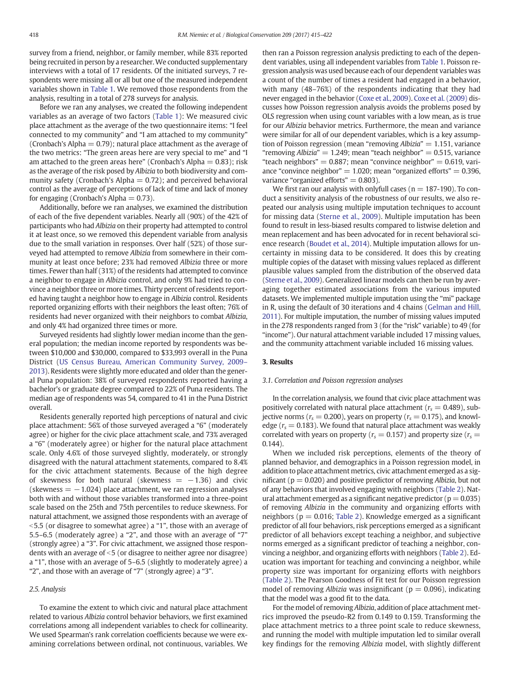survey from a friend, neighbor, or family member, while 83% reported being recruited in person by a researcher. We conducted supplementary interviews with a total of 17 residents. Of the initiated surveys, 7 respondents were missing all or all but one of the measured independent variables shown in [Table 1.](#page-1-0) We removed those respondents from the analysis, resulting in a total of 278 surveys for analysis.

Before we ran any analyses, we created the following independent variables as an average of two factors ([Table 1\)](#page-1-0): We measured civic place attachment as the average of the two questionnaire items: "I feel connected to my community" and "I am attached to my community" (Cronbach's Alpha  $= 0.79$ ); natural place attachment as the average of the two metrics: "The green areas here are very special to me" and "I am attached to the green areas here" (Cronbach's Alpha =  $0.83$ ); risk as the average of the risk posed by Albizia to both biodiversity and community safety (Cronbach's Alpha  $= 0.72$ ); and perceived behavioral control as the average of perceptions of lack of time and lack of money for engaging (Cronbach's Alpha  $= 0.73$ ).

Additionally, before we ran analyses, we examined the distribution of each of the five dependent variables. Nearly all (90%) of the 42% of participants who had Albizia on their property had attempted to control it at least once, so we removed this dependent variable from analysis due to the small variation in responses. Over half (52%) of those surveyed had attempted to remove Albizia from somewhere in their community at least once before; 23% had removed Albizia three or more times. Fewer than half (31%) of the residents had attempted to convince a neighbor to engage in Albizia control, and only 9% had tried to convince a neighbor three or more times. Thirty percent of residents reported having taught a neighbor how to engage in Albizia control. Residents reported organizing efforts with their neighbors the least often; 76% of residents had never organized with their neighbors to combat Albizia, and only 4% had organized three times or more.

Surveyed residents had slightly lower median income than the general population; the median income reported by respondents was between \$10,000 and \$30,000, compared to \$33,993 overall in the Puna District [\(US Census Bureau, American Community Survey, 2009](#page-7-0)– [2013\)](#page-7-0). Residents were slightly more educated and older than the general Puna population: 38% of surveyed respondents reported having a bachelor's or graduate degree compared to 22% of Puna residents. The median age of respondents was 54, compared to 41 in the Puna District overall.

Residents generally reported high perceptions of natural and civic place attachment: 56% of those surveyed averaged a "6" (moderately agree) or higher for the civic place attachment scale, and 73% averaged a "6" (moderately agree) or higher for the natural place attachment scale. Only 4.6% of those surveyed slightly, moderately, or strongly disagreed with the natural attachment statements, compared to 8.4% for the civic attachment statements. Because of the high degree of skewness for both natural (skewness  $= -1.36$ ) and civic  $(s$ kewness =  $-1.024$ ) place attachment, we ran regression analyses both with and without those variables transformed into a three-point scale based on the 25th and 75th percentiles to reduce skewness. For natural attachment, we assigned those respondents with an average of  $<$  5.5 (or disagree to somewhat agree) a "1", those with an average of 5.5–6.5 (moderately agree) a "2", and those with an average of "7" (strongly agree) a "3". For civic attachment, we assigned those respondents with an average of  $<$  5 (or disagree to neither agree nor disagree) a "1", those with an average of 5–6.5 (slightly to moderately agree) a "2", and those with an average of "7" (strongly agree) a "3".

#### 2.5. Analysis

To examine the extent to which civic and natural place attachment related to various Albizia control behavior behaviors, we first examined correlations among all independent variables to check for collinearity. We used Spearman's rank correlation coefficients because we were examining correlations between ordinal, not continuous, variables. We

then ran a Poisson regression analysis predicting to each of the dependent variables, using all independent variables from [Table 1](#page-1-0). Poisson regression analysis was used because each of our dependent variables was a count of the number of times a resident had engaged in a behavior, with many (48–76%) of the respondents indicating that they had never engaged in the behavior ([Coxe et al., 2009](#page-6-0)). [Coxe et al. \(2009\)](#page-6-0) discusses how Poisson regression analysis avoids the problems posed by OLS regression when using count variables with a low mean, as is true for our Albizia behavior metrics. Furthermore, the mean and variance were similar for all of our dependent variables, which is a key assumption of Poisson regression (mean "removing Albizia"  $= 1.151$ , variance "removing Albizia"  $= 1.249$ ; mean "teach neighbor"  $= 0.515$ , variance "teach neighbors" =  $0.887$ ; mean "convince neighbor" =  $0.619$ , variance "convince neighbor" = 1.020; mean "organized efforts" =  $0.396$ , variance "organized efforts"  $= 0.803$ ).

We first ran our analysis with onlyfull cases ( $n = 187-190$ ). To conduct a sensitivity analysis of the robustness of our results, we also repeated our analysis using multiple imputation techniques to account for missing data ([Sterne et al., 2009\)](#page-7-0). Multiple imputation has been found to result in less-biased results compared to listwise deletion and mean replacement and has been advocated for in recent behavioral science research [\(Boudet et al., 2014\)](#page-6-0). Multiple imputation allows for uncertainty in missing data to be considered. It does this by creating multiple copies of the dataset with missing values replaced as different plausible values sampled from the distribution of the observed data [\(Sterne et al., 2009](#page-7-0)). Generalized linear models can then be run by averaging together estimated associations from the various imputed datasets. We implemented multiple imputation using the "mi" package in R, using the default of 30 iterations and 4 chains [\(Gelman and Hill,](#page-6-0) [2011\)](#page-6-0). For multiple imputation, the number of missing values imputed in the 278 respondents ranged from 3 (for the "risk" variable) to 49 (for "income"). Our natural attachment variable included 17 missing values, and the community attachment variable included 16 missing values.

### 3. Results

## 3.1. Correlation and Poisson regression analyses

In the correlation analysis, we found that civic place attachment was positively correlated with natural place attachment ( $r_s = 0.489$ ), subjective norms ( $r_s = 0.200$ ), years on property ( $r_s = 0.175$ ), and knowledge ( $r_s = 0.183$ ). We found that natural place attachment was weakly correlated with years on property ( $r_s = 0.157$ ) and property size ( $r_s =$  $(144)$ 

When we included risk perceptions, elements of the theory of planned behavior, and demographics in a Poisson regression model, in addition to place attachment metrics, civic attachment emerged as a significant ( $p = 0.020$ ) and positive predictor of removing Albizia, but not of any behaviors that involved engaging with neighbors [\(Table 2\)](#page-4-0). Natural attachment emerged as a significant negative predictor ( $p = 0.035$ ) of removing Albizia in the community and organizing efforts with neighbors ( $p = 0.016$ ; [Table 2](#page-4-0)). Knowledge emerged as a significant predictor of all four behaviors, risk perceptions emerged as a significant predictor of all behaviors except teaching a neighbor, and subjective norms emerged as a significant predictor of teaching a neighbor, convincing a neighbor, and organizing efforts with neighbors [\(Table 2\)](#page-4-0). Education was important for teaching and convincing a neighbor, while property size was important for organizing efforts with neighbors [\(Table 2](#page-4-0)). The Pearson Goodness of Fit test for our Poisson regression model of removing Albizia was insignificant ( $p = 0.096$ ), indicating that the model was a good fit to the data.

For the model of removing Albizia, addition of place attachment metrics improved the pseudo-R2 from 0.149 to 0.159. Transforming the place attachment metrics to a three point scale to reduce skewness, and running the model with multiple imputation led to similar overall key findings for the removing Albizia model, with slightly different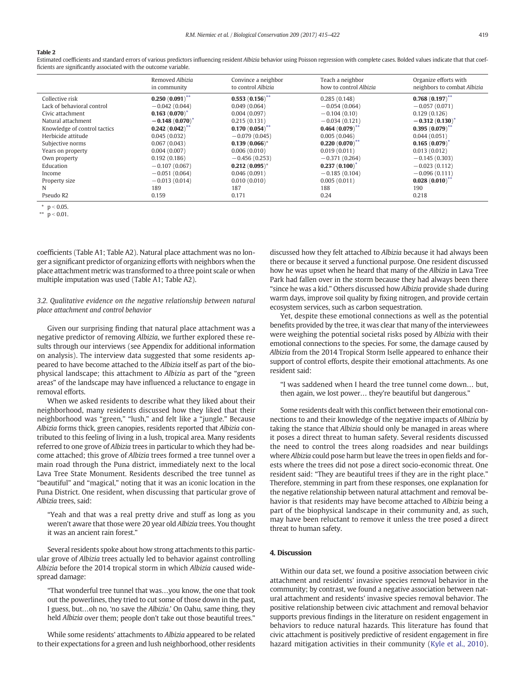## <span id="page-4-0"></span>Table 2

Estimated coefficients and standard errors of various predictors influencing resident Albizia behavior using Poisson regression with complete cases. Bolded values indicate that that coefficients are significantly associated with the outcome variable.

|                              | Removed Albizia              | Convince a neighbor | Teach a neighbor             | Organize efforts with       |
|------------------------------|------------------------------|---------------------|------------------------------|-----------------------------|
|                              | in community                 | to control Albizia  | how to control Albizia       | neighbors to combat Albizia |
| Collective risk              | $0.250(0.091)$ **            | $0.553(0.156)$ **   | 0.285(0.148)                 | $0.768(0.197)$ **           |
| Lack of behavioral control   | $-0.042(0.044)$              | 0.049(0.064)        | $-0.054(0.064)$              | $-0.057(0.071)$             |
| Civic attachment             | $0.163(0.070)^{*}$           | 0.004(0.097)        | $-0.104(0.10)$               | 0.129(0.126)                |
| Natural attachment           | $-0.148(0.070)^*$            | 0.215(0.131)        | $-0.034(0.121)$              | $-0.312(0.130)$             |
| Knowledge of control tactics | $0.242(0.042)$ <sup>**</sup> | $0.170(0.054)$ **   | $0.464(0.079)$ <sup>**</sup> | $0.395(0.079)$ **           |
| Herbicide attitude           | 0.045(0.032)                 | $-0.079(0.045)$     | 0.005(0.046)                 | 0.044(0.051)                |
| Subjective norms             | 0.067(0.043)                 | $0.139(0.066)^*$    | $0.220(0.070)^{**}$          | 0.165(0.079)                |
| Years on property            | 0.004(0.007)                 | 0.006(0.010)        | 0.019(0.011)                 | 0.013(0.012)                |
| Own property                 | 0.192(0.186)                 | $-0.456(0.253)$     | $-0.371(0.264)$              | $-0.145(0.303)$             |
| Education                    | $-0.107(0.067)$              | $0.212(0.095)^*$    | $0.237(0.100)^{*}$           | $-0.023(0.112)$             |
| Income                       | $-0.051(0.064)$              | 0.046(0.091)        | $-0.185(0.104)$              | $-0.096(0.111)$             |
| Property size                | $-0.013(0.014)$              | 0.010(0.010)        | 0.005(0.011)                 | $0.028(0.010)$ **           |
| N                            | 189                          | 187                 | 188                          | 190                         |
| Pseudo R2                    | 0.159                        | 0.171               | 0.24                         | 0.218                       |

 $p < 0.05$ .

\*\*  $p < 0.01$ .

coefficients (Table A1; Table A2). Natural place attachment was no longer a significant predictor of organizing efforts with neighbors when the place attachment metric was transformed to a three point scale or when multiple imputation was used (Table A1; Table A2).

3.2. Qualitative evidence on the negative relationship between natural place attachment and control behavior

Given our surprising finding that natural place attachment was a negative predictor of removing Albizia, we further explored these results through our interviews (see Appendix for additional information on analysis). The interview data suggested that some residents appeared to have become attached to the Albizia itself as part of the biophysical landscape; this attachment to Albizia as part of the "green areas" of the landscape may have influenced a reluctance to engage in removal efforts.

When we asked residents to describe what they liked about their neighborhood, many residents discussed how they liked that their neighborhood was "green," "lush," and felt like a "jungle." Because Albizia forms thick, green canopies, residents reported that Albizia contributed to this feeling of living in a lush, tropical area. Many residents referred to one grove of Albizia trees in particular to which they had become attached; this grove of Albizia trees formed a tree tunnel over a main road through the Puna district, immediately next to the local Lava Tree State Monument. Residents described the tree tunnel as "beautiful" and "magical," noting that it was an iconic location in the Puna District. One resident, when discussing that particular grove of Albizia trees, said:

"Yeah and that was a real pretty drive and stuff as long as you weren't aware that those were 20 year old Albizia trees. You thought it was an ancient rain forest."

Several residents spoke about how strong attachments to this particular grove of Albizia trees actually led to behavior against controlling Albizia before the 2014 tropical storm in which Albizia caused widespread damage:

"That wonderful tree tunnel that was…you know, the one that took out the powerlines, they tried to cut some of those down in the past, I guess, but…oh no, 'no save the Albizia.' On Oahu, same thing, they held Albizia over them; people don't take out those beautiful trees."

While some residents' attachments to Albizia appeared to be related to their expectations for a green and lush neighborhood, other residents discussed how they felt attached to Albizia because it had always been there or because it served a functional purpose. One resident discussed how he was upset when he heard that many of the Albizia in Lava Tree Park had fallen over in the storm because they had always been there "since he was a kid." Others discussed how Albizia provide shade during warm days, improve soil quality by fixing nitrogen, and provide certain ecosystem services, such as carbon sequestration.

Yet, despite these emotional connections as well as the potential benefits provided by the tree, it was clear that many of the interviewees were weighing the potential societal risks posed by Albizia with their emotional connections to the species. For some, the damage caused by Albizia from the 2014 Tropical Storm Iselle appeared to enhance their support of control efforts, despite their emotional attachments. As one resident said:

"I was saddened when I heard the tree tunnel come down… but, then again, we lost power… they're beautiful but dangerous."

Some residents dealt with this conflict between their emotional connections to and their knowledge of the negative impacts of Albizia by taking the stance that Albizia should only be managed in areas where it poses a direct threat to human safety. Several residents discussed the need to control the trees along roadsides and near buildings where Albizia could pose harm but leave the trees in open fields and forests where the trees did not pose a direct socio-economic threat. One resident said: "They are beautiful trees if they are in the right place." Therefore, stemming in part from these responses, one explanation for the negative relationship between natural attachment and removal behavior is that residents may have become attached to Albizia being a part of the biophysical landscape in their community and, as such, may have been reluctant to remove it unless the tree posed a direct threat to human safety.

# 4. Discussion

Within our data set, we found a positive association between civic attachment and residents' invasive species removal behavior in the community; by contrast, we found a negative association between natural attachment and residents' invasive species removal behavior. The positive relationship between civic attachment and removal behavior supports previous findings in the literature on resident engagement in behaviors to reduce natural hazards. This literature has found that civic attachment is positively predictive of resident engagement in fire hazard mitigation activities in their community [\(Kyle et al., 2010](#page-7-0)).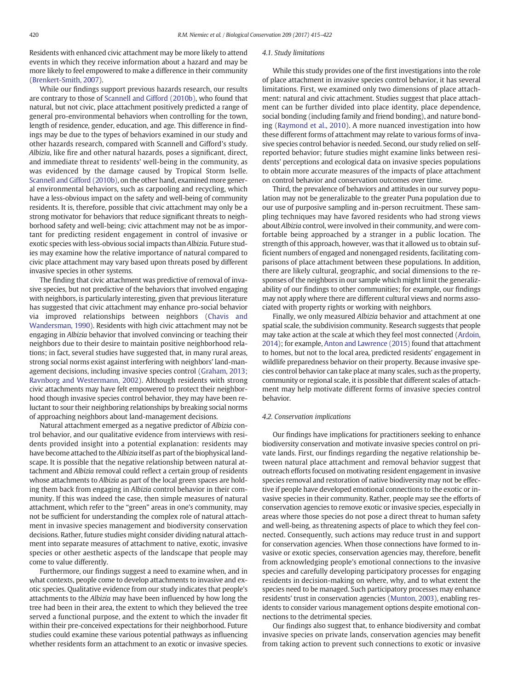Residents with enhanced civic attachment may be more likely to attend events in which they receive information about a hazard and may be more likely to feel empowered to make a difference in their community [\(Brenkert-Smith, 2007\)](#page-6-0).

While our findings support previous hazards research, our results are contrary to those of [Scannell and Gifford \(2010b\),](#page-7-0) who found that natural, but not civic, place attachment positively predicted a range of general pro-environmental behaviors when controlling for the town, length of residence, gender, education, and age. This difference in findings may be due to the types of behaviors examined in our study and other hazards research, compared with Scannell and Gifford's study. Albizia, like fire and other natural hazards, poses a significant, direct, and immediate threat to residents' well-being in the community, as was evidenced by the damage caused by Tropical Storm Iselle. [Scannell and Gifford \(2010b\)](#page-7-0), on the other hand, examined more general environmental behaviors, such as carpooling and recycling, which have a less-obvious impact on the safety and well-being of community residents. It is, therefore, possible that civic attachment may only be a strong motivator for behaviors that reduce significant threats to neighborhood safety and well-being; civic attachment may not be as important for predicting resident engagement in control of invasive or exotic species with less-obvious social impacts than Albizia. Future studies may examine how the relative importance of natural compared to civic place attachment may vary based upon threats posed by different invasive species in other systems.

The finding that civic attachment was predictive of removal of invasive species, but not predictive of the behaviors that involved engaging with neighbors, is particularly interesting, given that previous literature has suggested that civic attachment may enhance pro-social behavior via improved relationships between neighbors [\(Chavis and](#page-6-0) [Wandersman, 1990](#page-6-0)). Residents with high civic attachment may not be engaging in Albizia behavior that involved convincing or teaching their neighbors due to their desire to maintain positive neighborhood relations; in fact, several studies have suggested that, in many rural areas, strong social norms exist against interfering with neighbors' land-management decisions, including invasive species control [\(Graham, 2013;](#page-6-0) [Ravnborg and Westermann, 2002](#page-6-0)). Although residents with strong civic attachments may have felt empowered to protect their neighborhood though invasive species control behavior, they may have been reluctant to sour their neighboring relationships by breaking social norms of approaching neighbors about land-management decisions.

Natural attachment emerged as a negative predictor of Albizia control behavior, and our qualitative evidence from interviews with residents provided insight into a potential explanation: residents may have become attached to the Albizia itself as part of the biophysical landscape. It is possible that the negative relationship between natural attachment and Albizia removal could reflect a certain group of residents whose attachments to Albizia as part of the local green spaces are holding them back from engaging in Albizia control behavior in their community. If this was indeed the case, then simple measures of natural attachment, which refer to the "green" areas in one's community, may not be sufficient for understanding the complex role of natural attachment in invasive species management and biodiversity conservation decisions. Rather, future studies might consider dividing natural attachment into separate measures of attachment to native, exotic, invasive species or other aesthetic aspects of the landscape that people may come to value differently.

Furthermore, our findings suggest a need to examine when, and in what contexts, people come to develop attachments to invasive and exotic species. Qualitative evidence from our study indicates that people's attachments to the Albizia may have been influenced by how long the tree had been in their area, the extent to which they believed the tree served a functional purpose, and the extent to which the invader fit within their pre-conceived expectations for their neighborhood. Future studies could examine these various potential pathways as influencing whether residents form an attachment to an exotic or invasive species.

## 4.1. Study limitations

While this study provides one of the first investigations into the role of place attachment in invasive species control behavior, it has several limitations. First, we examined only two dimensions of place attachment: natural and civic attachment. Studies suggest that place attachment can be further divided into place identity, place dependence, social bonding (including family and friend bonding), and nature bonding [\(Raymond et al., 2010\)](#page-7-0). A more nuanced investigation into how these different forms of attachment may relate to various forms of invasive species control behavior is needed. Second, our study relied on selfreported behavior; future studies might examine links between residents' perceptions and ecological data on invasive species populations to obtain more accurate measures of the impacts of place attachment on control behavior and conservation outcomes over time.

Third, the prevalence of behaviors and attitudes in our survey population may not be generalizable to the greater Puna population due to our use of purposive sampling and in-person recruitment. These sampling techniques may have favored residents who had strong views about Albizia control, were involved in their community, and were comfortable being approached by a stranger in a public location. The strength of this approach, however, was that it allowed us to obtain sufficient numbers of engaged and nonengaged residents, facilitating comparisons of place attachment between these populations. In addition, there are likely cultural, geographic, and social dimensions to the responses of the neighbors in our sample which might limit the generalizability of our findings to other communities; for example, our findings may not apply where there are different cultural views and norms associated with property rights or working with neighbors.

Finally, we only measured Albizia behavior and attachment at one spatial scale, the subdivision community. Research suggests that people may take action at the scale at which they feel most connected ([Ardoin,](#page-6-0) [2014\)](#page-6-0); for example, [Anton and Lawrence \(2015\)](#page-6-0) found that attachment to homes, but not to the local area, predicted residents' engagement in wildlife preparedness behavior on their property. Because invasive species control behavior can take place at many scales, such as the property, community or regional scale, it is possible that different scales of attachment may help motivate different forms of invasive species control behavior.

## 4.2. Conservation implications

Our findings have implications for practitioners seeking to enhance biodiversity conservation and motivate invasive species control on private lands. First, our findings regarding the negative relationship between natural place attachment and removal behavior suggest that outreach efforts focused on motivating resident engagement in invasive species removal and restoration of native biodiversity may not be effective if people have developed emotional connections to the exotic or invasive species in their community. Rather, people may see the efforts of conservation agencies to remove exotic or invasive species, especially in areas where those species do not pose a direct threat to human safety and well-being, as threatening aspects of place to which they feel connected. Consequently, such actions may reduce trust in and support for conservation agencies. When those connections have formed to invasive or exotic species, conservation agencies may, therefore, benefit from acknowledging people's emotional connections to the invasive species and carefully developing participatory processes for engaging residents in decision-making on where, why, and to what extent the species need to be managed. Such participatory processes may enhance residents' trust in conservation agencies [\(Munton, 2003](#page-7-0)), enabling residents to consider various management options despite emotional connections to the detrimental species.

Our findings also suggest that, to enhance biodiversity and combat invasive species on private lands, conservation agencies may benefit from taking action to prevent such connections to exotic or invasive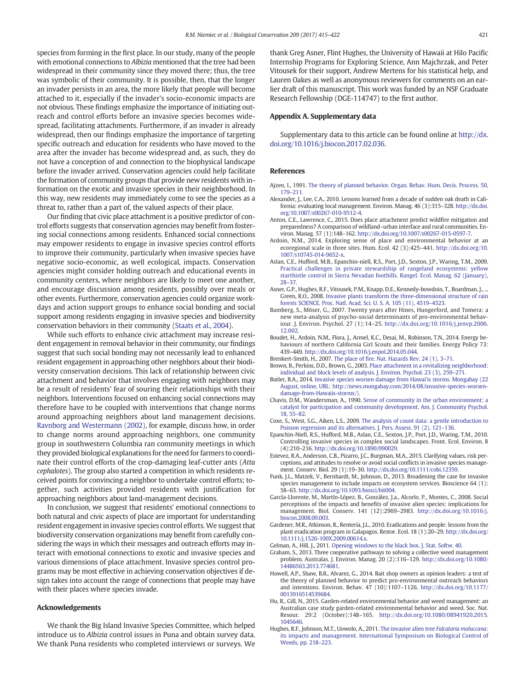<span id="page-6-0"></span>species from forming in the first place. In our study, many of the people with emotional connections to Albizia mentioned that the tree had been widespread in their community since they moved there; thus, the tree was symbolic of their community. It is possible, then, that the longer an invader persists in an area, the more likely that people will become attached to it, especially if the invader's socio-economic impacts are not obvious. These findings emphasize the importance of initiating outreach and control efforts before an invasive species becomes widespread, facilitating attachments. Furthermore, if an invader is already widespread, then our findings emphasize the importance of targeting specific outreach and education for residents who have moved to the area after the invader has become widespread and, as such, they do not have a conception of and connection to the biophysical landscape before the invader arrived. Conservation agencies could help facilitate the formation of community groups that provide new residents with information on the exotic and invasive species in their neighborhood. In this way, new residents may immediately come to see the species as a threat to, rather than a part of, the valued aspects of their place.

Our finding that civic place attachment is a positive predictor of control efforts suggests that conservation agencies may benefit from fostering social connections among residents. Enhanced social connections may empower residents to engage in invasive species control efforts to improve their community, particularly when invasive species have negative socio-economic, as well ecological, impacts. Conservation agencies might consider holding outreach and educational events in community centers, where neighbors are likely to meet one another, and encourage discussion among residents, possibly over meals or other events. Furthermore, conservation agencies could organize workdays and action support groups to enhance social bonding and social support among residents engaging in invasive species and biodiversity conservation behaviors in their community [\(Staats et al., 2004](#page-7-0)).

While such efforts to enhance civic attachment may increase resident engagement in removal behavior in their community, our findings suggest that such social bonding may not necessarily lead to enhanced resident engagement in approaching other neighbors about their biodiversity conservation decisions. This lack of relationship between civic attachment and behavior that involves engaging with neighbors may be a result of residents' fear of souring their relationships with their neighbors. Interventions focused on enhancing social connections may therefore have to be coupled with interventions that change norms around approaching neighbors about land management decisions. [Ravnborg and Westermann \(2002\)](#page-7-0), for example, discuss how, in order to change norms around approaching neighbors, one community group in southwestern Columbia ran community meetings in which they provided biological explanations for the need for farmers to coordinate their control efforts of the crop-damaging leaf-cutter ants (Atta cephalotes). The group also started a competition in which residents received points for convincing a neighbor to undertake control efforts; together, such activities provided residents with justification for approaching neighbors about land-management decisions.

In conclusion, we suggest that residents' emotional connections to both natural and civic aspects of place are important for understanding resident engagement in invasive species control efforts. We suggest that biodiversity conservation organizations may benefit from carefully considering the ways in which their messages and outreach efforts may interact with emotional connections to exotic and invasive species and various dimensions of place attachment. Invasive species control programs may be most effective in achieving conservation objectives if design takes into account the range of connections that people may have with their places where species invade.

# Acknowledgements

We thank the Big Island Invasive Species Committee, which helped introduce us to Albizia control issues in Puna and obtain survey data. We thank Puna residents who completed interviews or surveys. We thank Greg Asner, Flint Hughes, the University of Hawaii at Hilo Pacific Internship Programs for Exploring Science, Ann Majchrzak, and Peter Vitousek for their support, Andrew Mertens for his statistical help, and Lauren Oakes as well as anonymous reviewers for comments on an earlier draft of this manuscript. This work was funded by an NSF Graduate Research Fellowship (DGE-114747) to the first author.

# Appendix A. Supplementary data

Supplementary data to this article can be found online at [http://dx.](http://dx.doi.org/10.1016/j.biocon.2017.02.036) [doi.org/10.1016/j.biocon.2017.02.036](http://dx.doi.org/10.1016/j.biocon.2017.02.036).

# References

Ajzen, I., 1991. [The theory of planned behavior. Organ. Behav. Hum. Decis. Process. 50,](http://refhub.elsevier.com/S0006-3207(16)30576-6/rf0005) [179](http://refhub.elsevier.com/S0006-3207(16)30576-6/rf0005)–211.

- Alexander, J., Lee, C.A., 2010. Lessons learned from a decade of sudden oak death in California: evaluating local management. Environ. Manag. 46 (3):315–328. http://dx.doi. org[/10.1007/s00267-010-9512-4](http://dx.doi.org/10.1007/s00267-010-9512-4).
- Anton, C.E., Lawrence, C., 2015. Does place attachment predict wildfire mitigation and preparedness? A comparison of wildland–urban interface and rural communities. Environ. Manag. 57 (1):148–162. http://dx.doi.org[/10.1007/s00267-015-0597-7](http://dx.doi.org/10.1007/s00267-015-0597-7).
- Ardoin, N.M., 2014. Exploring sense of place and environmental behavior at an ecoregional scale in three sites. Hum. Ecol. 42 (3):425–441. http://dx.doi.org/[10.](http://dx.doi.org/10.1007/s10745-014-9652-x) [1007/s10745-014-9652-x](http://dx.doi.org/10.1007/s10745-014-9652-x).
- Aslan, C.E., Hufford, M.B., Epanchin-niell, R.S., Port, J.D., Sexton, J.P., Waring, T.M., 2009. [Practical challenges in private stewardship of rangeland ecosystems: yellow](http://refhub.elsevier.com/S0006-3207(16)30576-6/rf0025) [starthistle control in Sierra Nevadan foothills. Rangel. Ecol. Manag. 62 \(January\),](http://refhub.elsevier.com/S0006-3207(16)30576-6/rf0025) [28](http://refhub.elsevier.com/S0006-3207(16)30576-6/rf0025)–37.
- Asner, G.P., Hughes, R.F., Vitousek, P.M., Knapp, D.E., Kennedy-bowdoin, T., Boardman, J., ... Green, R.O., 2008. [Invasive plants transform the three-dimensional structure of rain](http://refhub.elsevier.com/S0006-3207(16)30576-6/rf0030) [forests SCIENCE. Proc. Natl. Acad. Sci. U. S. A. 105 \(11\), 4519](http://refhub.elsevier.com/S0006-3207(16)30576-6/rf0030)–4523.
- Bamberg, S., Möser, G., 2007. Twenty years after Hines, Hungerford, and Tomera: a new meta-analysis of psycho-social determinants of pro-environmental behaviour. J. Environ. Psychol. 27 (1):14–25. http://dx.doi.org/[10.1016/j.jenvp.2006.](http://dx.doi.org/10.1016/j.jenvp.2006.12.002) [12.002.](http://dx.doi.org/10.1016/j.jenvp.2006.12.002)
- Boudet, H., Ardoin, N.M., Flora, J., Armel, K.C., Desai, M., Robinson, T.N., 2014. Energy behaviours of northern California Girl Scouts and their families. Energy Policy 73: 439–449. http://dx.doi.org[/10.1016/j.enpol.2014.05.044.](http://dx.doi.org/10.1016/j.enpol.2014.05.044)
- Brenkert-Smith, H., 2007. The place of fi[re. Nat. Hazards Rev. 24 \(1\), 3](http://refhub.elsevier.com/S0006-3207(16)30576-6/rf0045)–71.
- Brown, B., Perkins, D.D., Brown, G., 2003. [Place attachment in a revitalizing neighborhood:](http://refhub.elsevier.com/S0006-3207(16)30576-6/rf0050) [individual and block levels of analysis. J. Environ. Psychol. 23 \(3\), 259](http://refhub.elsevier.com/S0006-3207(16)30576-6/rf0050)–271.
- Butler, R.A., 2014. [Invasive species worsen damage from Hawai'is storms. Mongabay \(22](http://refhub.elsevier.com/S0006-3207(16)30576-6/rf0055) [August, online, URL: http://news.mongabay.com/2014/08/invasive-species-worsen](http://refhub.elsevier.com/S0006-3207(16)30576-6/rf0055)[damage-from-Hawaiis-storms/\).](http://refhub.elsevier.com/S0006-3207(16)30576-6/rf0055)
- Chavis, D.M., Wandersman, A., 1990. [Sense of community in the urban environment: a](http://refhub.elsevier.com/S0006-3207(16)30576-6/rf0060) [catalyst for participation and community development. Am. J. Community Psychol.](http://refhub.elsevier.com/S0006-3207(16)30576-6/rf0060) [18, 55](http://refhub.elsevier.com/S0006-3207(16)30576-6/rf0060)–82.
- Coxe, S., West, S.G., Aiken, L.S., 2009. [The analysis of count data: a gentle introduction to](http://refhub.elsevier.com/S0006-3207(16)30576-6/rf0065) [Poisson regression and its alternatives. J. Pers. Assess. 91 \(2\), 121](http://refhub.elsevier.com/S0006-3207(16)30576-6/rf0065)–136.
- Epanchin-Niell, R.S., Hufford, M.B., Aslan, C.E., Sexton, J.P., Port, J.D., Waring, T.M., 2010. Controlling invasive species in complex social landscapes. Front. Ecol. Environ. 8 (4):210–216. http://dx.doi.org/[10.1890/090029.](http://dx.doi.org/10.1890/090029)
- Estevez, R.A., Anderson, C.B., Pizarro, J.C., Burgman, M.A., 2015. Clarifying values, risk perceptions, and attitudes to resolve or avoid social conflicts in invasive species management. Conserv. Biol. 29 (1):19–30. http://dx.doi.org/[10.1111/cobi.12359](http://dx.doi.org/10.1111/cobi.12359).
- Funk, J.L., Matzek, V., Bernhardt, M., Johnson, D., 2013. Broadening the case for invasive species management to include impacts on ecosystem services. Bioscience 64 (1): 58–63. http://dx.doi.org[/10.1093/biosci/bit004.](http://dx.doi.org/10.1093/biosci/bit004)
- García-Llorente, M., Martín-López, B., González, J.a., Alcorlo, P., Montes, C., 2008. Social perceptions of the impacts and benefits of invasive alien species: implications for management. Biol. Conserv. 141 (12):2969–2983. http://dx.doi.org/[10.1016/j.](http://dx.doi.org/10.1016/j.biocon.2008.09.003) [biocon.2008.09.003](http://dx.doi.org/10.1016/j.biocon.2008.09.003).
- Gardener, M.R., Atkinson, R., Rentería, J.L., 2010. Eradications and people: lessons from the plant eradication program in Galapagos. Restor. Ecol. 18 (1):20–29. http://dx.doi.org/ [10.1111/j.1526-100X.2009.00614.x.](http://dx.doi.org/10.1111/j.1526-100X.2009.00614.x)
- Gelman, A., Hill, J., 2011. [Opening windows to the black box. J. Stat. Softw. 40.](http://refhub.elsevier.com/S0006-3207(16)30576-6/rf0095)
- Graham, S., 2013. Three cooperative pathways to solving a collective weed management problem. Australas. J. Environ. Manag. 20 (2):116–129. http://dx.doi.org/[10.1080/](http://dx.doi.org/10.1080/14486563.2013.774681) [14486563.2013.774681](http://dx.doi.org/10.1080/14486563.2013.774681).
- Howell, A.P., Shaw, B.R., Alvarez, G., 2014. Bait shop owners as opinion leaders: a test of the theory of planned behavior to predict pro-environmental outreach behaviors and intentions. Environ. Behav. 47 (10):1107–1126. http://dx.doi.org[/10.1177/](http://dx.doi.org/10.1177/0013916514539684) [0013916514539684](http://dx.doi.org/10.1177/0013916514539684).
- Hu, R., Gill, N., 2015. Garden-related environmental behavior and weed management: an Australian case study garden-related environmental behavior and weed. Soc. Nat. Resour. 29:2 (October):148–165. http://dx.doi.org/[10.1080/08941920.2015.](http://dx.doi.org/10.1080/08941920.2015.1045646) [1045646](http://dx.doi.org/10.1080/08941920.2015.1045646).
- Hughes, R.F., Johnson, M.T., Uowolo, A., 2011. [The invasive alien tree](http://refhub.elsevier.com/S0006-3207(16)30576-6/rf0115) Falcataria moluccana: [its impacts and management. International Symposium on Biological Control of](http://refhub.elsevier.com/S0006-3207(16)30576-6/rf0115) [Weeds, pp. 218](http://refhub.elsevier.com/S0006-3207(16)30576-6/rf0115)–223.